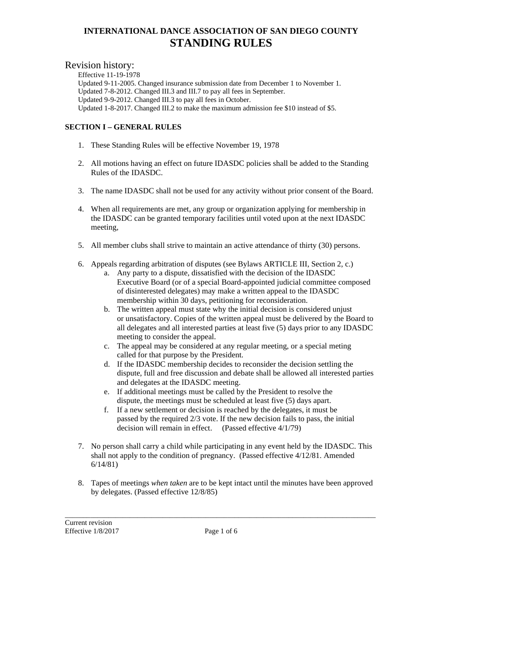#### Revision history:

Effective 11-19-1978 Updated 9-11-2005. Changed insurance submission date from December 1 to November 1. Updated 7-8-2012. Changed III.3 and III.7 to pay all fees in September. Updated 9-9-2012. Changed III.3 to pay all fees in October. Updated 1-8-2017. Changed III.2 to make the maximum admission fee \$10 instead of \$5.

#### **SECTION I – GENERAL RULES**

- 1. These Standing Rules will be effective November 19, 1978
- 2. All motions having an effect on future IDASDC policies shall be added to the Standing Rules of the IDASDC.
- 3. The name IDASDC shall not be used for any activity without prior consent of the Board.
- 4. When all requirements are met, any group or organization applying for membership in the IDASDC can be granted temporary facilities until voted upon at the next IDASDC meeting,
- 5. All member clubs shall strive to maintain an active attendance of thirty (30) persons.
- 6. Appeals regarding arbitration of disputes (see Bylaws ARTICLE III, Section 2, c.)
	- a. Any party to a dispute, dissatisfied with the decision of the IDASDC Executive Board (or of a special Board-appointed judicial committee composed of disinterested delegates) may make a written appeal to the IDASDC membership within 30 days, petitioning for reconsideration.
	- b. The written appeal must state why the initial decision is considered unjust or unsatisfactory. Copies of the written appeal must be delivered by the Board to all delegates and all interested parties at least five (5) days prior to any IDASDC meeting to consider the appeal.
	- c. The appeal may be considered at any regular meeting, or a special meting called for that purpose by the President.
	- d. If the IDASDC membership decides to reconsider the decision settling the dispute, full and free discussion and debate shall be allowed all interested parties and delegates at the IDASDC meeting.
	- e. If additional meetings must be called by the President to resolve the dispute, the meetings must be scheduled at least five (5) days apart.
	- f. If a new settlement or decision is reached by the delegates, it must be passed by the required 2/3 vote. If the new decision fails to pass, the initial decision will remain in effect. (Passed effective 4/1/79)
- 7. No person shall carry a child while participating in any event held by the IDASDC. This shall not apply to the condition of pregnancy. (Passed effective 4/12/81. Amended 6/14/81)
- 8. Tapes of meetings *when taken* are to be kept intact until the minutes have been approved by delegates. (Passed effective 12/8/85)

Current revision Effective  $1/8/2017$  Page 1 of 6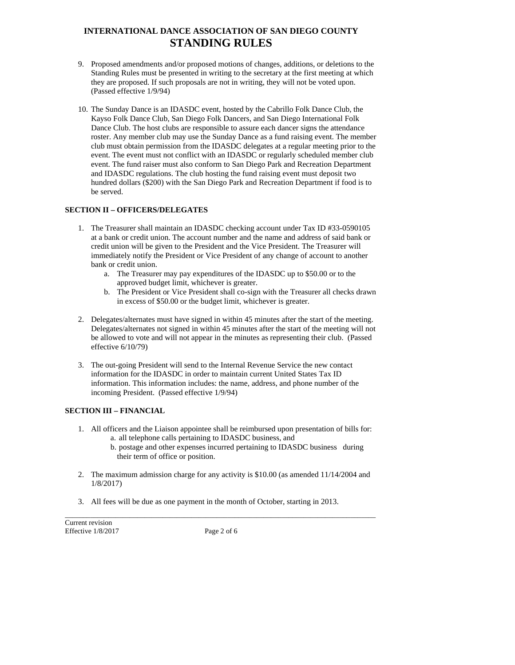- 9. Proposed amendments and/or proposed motions of changes, additions, or deletions to the Standing Rules must be presented in writing to the secretary at the first meeting at which they are proposed. If such proposals are not in writing, they will not be voted upon. (Passed effective 1/9/94)
- 10. The Sunday Dance is an IDASDC event, hosted by the Cabrillo Folk Dance Club, the Kayso Folk Dance Club, San Diego Folk Dancers, and San Diego International Folk Dance Club. The host clubs are responsible to assure each dancer signs the attendance roster. Any member club may use the Sunday Dance as a fund raising event. The member club must obtain permission from the IDASDC delegates at a regular meeting prior to the event. The event must not conflict with an IDASDC or regularly scheduled member club event. The fund raiser must also conform to San Diego Park and Recreation Department and IDASDC regulations. The club hosting the fund raising event must deposit two hundred dollars (\$200) with the San Diego Park and Recreation Department if food is to be served.

### **SECTION II – OFFICERS/DELEGATES**

- 1. The Treasurer shall maintain an IDASDC checking account under Tax ID #33-0590105 at a bank or credit union. The account number and the name and address of said bank or credit union will be given to the President and the Vice President. The Treasurer will immediately notify the President or Vice President of any change of account to another bank or credit union.
	- a. The Treasurer may pay expenditures of the IDASDC up to \$50.00 or to the approved budget limit, whichever is greater.
	- b. The President or Vice President shall co-sign with the Treasurer all checks drawn in excess of \$50.00 or the budget limit, whichever is greater.
- 2. Delegates/alternates must have signed in within 45 minutes after the start of the meeting. Delegates/alternates not signed in within 45 minutes after the start of the meeting will not be allowed to vote and will not appear in the minutes as representing their club. (Passed effective 6/10/79)
- 3. The out-going President will send to the Internal Revenue Service the new contact information for the IDASDC in order to maintain current United States Tax ID information. This information includes: the name, address, and phone number of the incoming President. (Passed effective 1/9/94)

### **SECTION III – FINANCIAL**

- 1. All officers and the Liaison appointee shall be reimbursed upon presentation of bills for: a. all telephone calls pertaining to IDASDC business, and
	- b. postage and other expenses incurred pertaining to IDASDC business during their term of office or position.
- 2. The maximum admission charge for any activity is \$10.00 (as amended 11/14/2004 and 1/8/2017)
- 3. All fees will be due as one payment in the month of October, starting in 2013.

Current revision Effective  $1/8/2017$  Page 2 of 6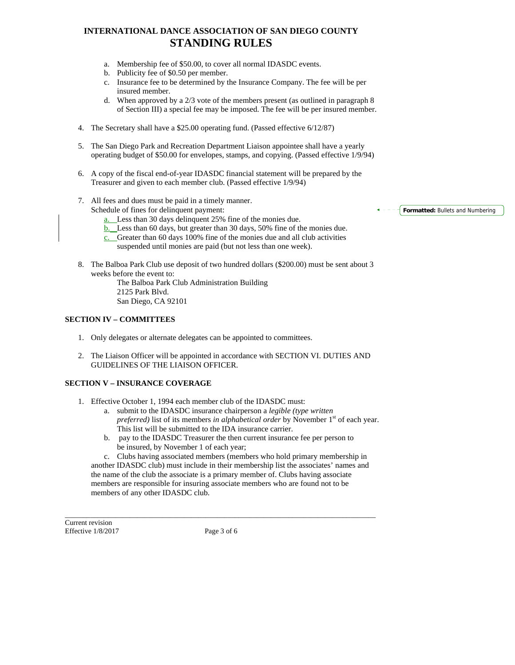- a. Membership fee of \$50.00, to cover all normal IDASDC events.
- b. Publicity fee of \$0.50 per member.
- c. Insurance fee to be determined by the Insurance Company. The fee will be per insured member.
- d. When approved by a 2/3 vote of the members present (as outlined in paragraph 8 of Section III) a special fee may be imposed. The fee will be per insured member.
- 4. The Secretary shall have a \$25.00 operating fund. (Passed effective 6/12/87)
- 5. The San Diego Park and Recreation Department Liaison appointee shall have a yearly operating budget of \$50.00 for envelopes, stamps, and copying. (Passed effective 1/9/94)
- 6. A copy of the fiscal end-of-year IDASDC financial statement will be prepared by the Treasurer and given to each member club. (Passed effective 1/9/94)
- 7. All fees and dues must be paid in a timely manner. Schedule of fines for delinquent payment:
	- a. Less than 30 days delinquent 25% fine of the monies due.
	- b. Less than 60 days, but greater than 30 days, 50% fine of the monies due.
	- c. Greater than 60 days 100% fine of the monies due and all club activities

suspended until monies are paid (but not less than one week).

8. The Balboa Park Club use deposit of two hundred dollars (\$200.00) must be sent about 3 weeks before the event to: The Balboa Park Club Administration Building

2125 Park Blvd. San Diego, CA 92101

#### **SECTION IV – COMMITTEES**

- 1. Only delegates or alternate delegates can be appointed to committees.
- 2. The Liaison Officer will be appointed in accordance with SECTION VI. DUTIES AND GUIDELINES OF THE LIAISON OFFICER.

### **SECTION V – INSURANCE COVERAGE**

- 1. Effective October 1, 1994 each member club of the IDASDC must:
	- a. submit to the IDASDC insurance chairperson a *legible (type written preferred*) list of its members *in alphabetical order* by November 1<sup>st</sup> of each year. This list will be submitted to the IDA insurance carrier.
	- b. pay to the IDASDC Treasurer the then current insurance fee per person to be insured, by November 1 of each year;

c. Clubs having associated members (members who hold primary membership in another IDASDC club) must include in their membership list the associates' names and the name of the club the associate is a primary member of. Clubs having associate members are responsible for insuring associate members who are found not to be members of any other IDASDC club.

Current revision Effective  $1/8/2017$  Page 3 of 6

 $\Box$  . The contribution of the contribution of the contribution of the contribution of the contribution of the contribution of the contribution of the contribution of the contribution of the contribution of the contributi

**Formatted:** Bullets and Numbering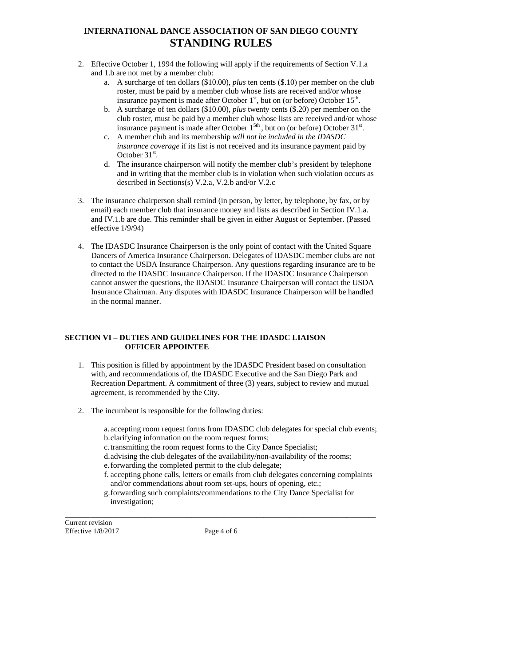- 2. Effective October 1, 1994 the following will apply if the requirements of Section V.1.a and 1.b are not met by a member club:
	- a. A surcharge of ten dollars (\$10.00), *plus* ten cents (\$.10) per member on the club roster, must be paid by a member club whose lists are received and/or whose insurance payment is made after October  $1<sup>st</sup>$ , but on (or before) October  $15<sup>th</sup>$ .
	- b. A surcharge of ten dollars (\$10.00), *plus* twenty cents (\$.20) per member on the club roster, must be paid by a member club whose lists are received and/or whose insurance payment is made after October  $1^{5th}$ , but on (or before) October  $31^{st}$ .
	- c. A member club and its membership *will not be included in the IDASDC insurance coverage* if its list is not received and its insurance payment paid by October  $31<sup>st</sup>$ .
	- d. The insurance chairperson will notify the member club's president by telephone and in writing that the member club is in violation when such violation occurs as described in Sections(s) V.2.a, V.2.b and/or V.2.c
- 3. The insurance chairperson shall remind (in person, by letter, by telephone, by fax, or by email) each member club that insurance money and lists as described in Section IV.1.a. and IV.1.b are due. This reminder shall be given in either August or September. (Passed effective 1/9/94)
- 4. The IDASDC Insurance Chairperson is the only point of contact with the United Square Dancers of America Insurance Chairperson. Delegates of IDASDC member clubs are not to contact the USDA Insurance Chairperson. Any questions regarding insurance are to be directed to the IDASDC Insurance Chairperson. If the IDASDC Insurance Chairperson cannot answer the questions, the IDASDC Insurance Chairperson will contact the USDA Insurance Chairman. Any disputes with IDASDC Insurance Chairperson will be handled in the normal manner.

### **SECTION VI – DUTIES AND GUIDELINES FOR THE IDASDC LIAISON OFFICER APPOINTEE**

- 1. This position is filled by appointment by the IDASDC President based on consultation with, and recommendations of, the IDASDC Executive and the San Diego Park and Recreation Department. A commitment of three (3) years, subject to review and mutual agreement, is recommended by the City.
- 2. The incumbent is responsible for the following duties:
	- a. accepting room request forms from IDASDC club delegates for special club events; b.clarifying information on the room request forms;
	- c.transmitting the room request forms to the City Dance Specialist;
	- d.advising the club delegates of the availability/non-availability of the rooms;
	- e.forwarding the completed permit to the club delegate;
	- f. accepting phone calls, letters or emails from club delegates concerning complaints and/or commendations about room set-ups, hours of opening, etc.;
	- g.forwarding such complaints/commendations to the City Dance Specialist for investigation;

Current revision Effective  $1/8/2017$  Page 4 of 6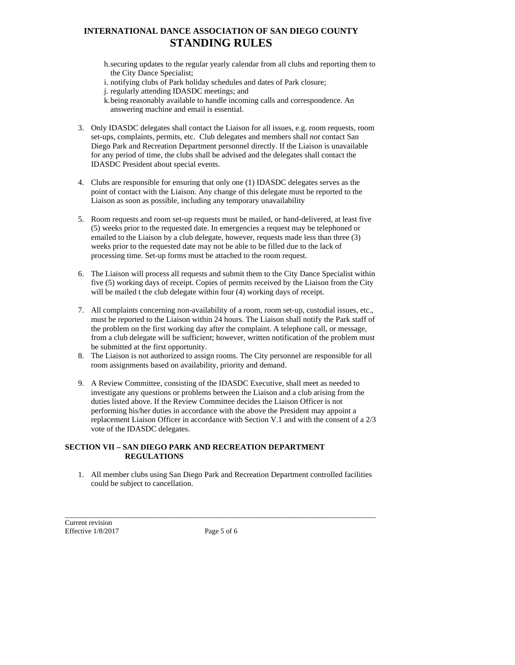- h.securing updates to the regular yearly calendar from all clubs and reporting them to the City Dance Specialist;
- i. notifying clubs of Park holiday schedules and dates of Park closure;
- j. regularly attending IDASDC meetings; and
- k.being reasonably available to handle incoming calls and correspondence. An answering machine and email is essential.
- 3. Only IDASDC delegates shall contact the Liaison for all issues, e.g. room requests, room set-ups, complaints, permits, etc. Club delegates and members shall *not* contact San Diego Park and Recreation Department personnel directly. If the Liaison is unavailable for any period of time, the clubs shall be advised and the delegates shall contact the IDASDC President about special events.
- 4. Clubs are responsible for ensuring that only one (1) IDASDC delegates serves as the point of contact with the Liaison. Any change of this delegate must be reported to the Liaison as soon as possible, including any temporary unavailability
- 5. Room requests and room set-up requests must be mailed, or hand-delivered, at least five (5) weeks prior to the requested date. In emergencies a request may be telephoned or emailed to the Liaison by a club delegate, however, requests made less than three (3) weeks prior to the requested date may not be able to be filled due to the lack of processing time. Set-up forms must be attached to the room request.
- 6. The Liaison will process all requests and submit them to the City Dance Specialist within five (5) working days of receipt. Copies of permits received by the Liaison from the City will be mailed t the club delegate within four  $(4)$  working days of receipt.
- 7. All complaints concerning non-availability of a room, room set-up, custodial issues, etc., must be reported to the Liaison within 24 hours. The Liaison shall notify the Park staff of the problem on the first working day after the complaint. A telephone call, or message, from a club delegate will be sufficient; however, written notification of the problem must be submitted at the first opportunity.
- 8. The Liaison is not authorized to assign rooms. The City personnel are responsible for all room assignments based on availability, priority and demand.
- 9. A Review Committee, consisting of the IDASDC Executive, shall meet as needed to investigate any questions or problems between the Liaison and a club arising from the duties listed above. If the Review Committee decides the Liaison Officer is not performing his/her duties in accordance with the above the President may appoint a replacement Liaison Officer in accordance with Section V.1 and with the consent of a 2/3 vote of the IDASDC delegates.

### **SECTION VII – SAN DIEGO PARK AND RECREATION DEPARTMENT REGULATIONS**

1. All member clubs using San Diego Park and Recreation Department controlled facilities could be subject to cancellation.

Current revision Effective  $1/8/2017$  Page 5 of 6